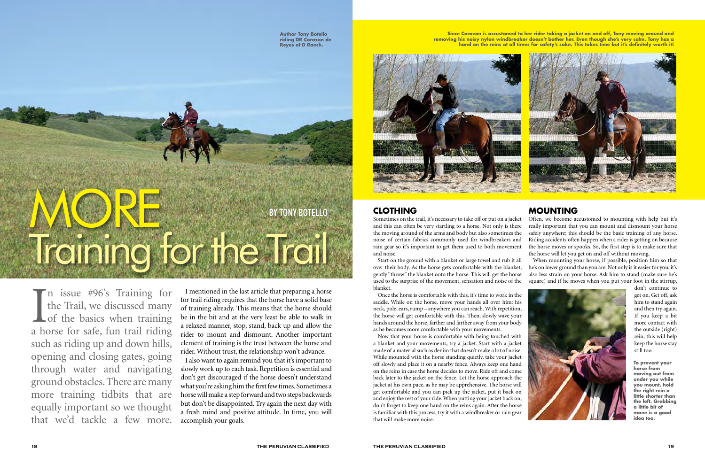MORE

Training for the Trail

I mentioned in the last article that preparing a horse for trail riding requires that the horse have a solid base of training already. This means that the horse should be in the bit and at the very least be able to walk in a relaxed manner, stop, stand, back up and allow the rider to mount and dismount. Another important element of training is the trust between the horse and rider. Without trust, the relationship won't advance.

I also want to again remind you that it's important to slowly work up to each task. Repetition is essential and don't get discouraged if the horse doesn't understand what you're asking him the first few times. Sometimes a horse will make a step forward and two steps backwards but don't be disappointed. Try again the next day with a fresh mind and positive attitude. In time, you will accomplish your goals.

## **CLOTHING**

Once the horse is comfortable with this, it's time to work in the saddle. While on the horse, move your hands all over him: his neck, pole, ears, rump – anywhere you can reach. With repetition, the horse will get comfortable with this. Then, slowly wave your hands around the horse, farther and farther away from your body as he becomes more comfortable with your movements.

Sometimes on the trail, it's necessary to take off or put on a jacket and this can often be very startling to a horse. Not only is there the moving around of the arms and body but also sometimes the noise of certain fabrics commonly used for windbreakers and rain gear so it's important to get them used to both movement and noise. Often, we become accustomed to mounting with help but it's really important that you can mount and dismount your horse safely anywhere; this should be the basic training of any horse. Riding accidents often happen when a rider is getting on because the horse moves or spooks. So, the first step is to make sure that the horse will let you get on and off without moving.

In issue #96's Training for<br>the Trail, we discussed many<br>of the basics when training<br>a horse for safe, fun trail riding the Trail, we discussed many **L** of the basics when training a horse for safe, fun trail riding such as riding up and down hills, opening and closing gates, going through water and navigating ground obstacles. There are many more training tidbits that are equally important so we thought that we'd tackle a few more.

Now that your horse is comfortable with being touched with a blanket and your movements, try a jacket. Start with a jacket made of a material such as denim that doesn't make a lot of noise. While mounted with the horse standing quietly, take your jacket off slowly and place it on a nearby fence. Always keep one hand on the reins in case the horse decides to move. Ride off and come back later to the jacket on the fence. Let the horse approach the jacket at his own pace, as he may be apprehensive. The horse will get comfortable and you can pick up the jacket, put it back on and enjoy the rest of your ride. When putting your jacket back on, don't forget to keep one hand on the reins again. After the horse is familiar with this process, try it with a windbreaker or rain gear that will make more noise.

Start on the ground with a blanket or large towel and rub it all over their body. As the horse gets comfortable with the blanket, gently "throw" the blanket onto the horse. This will get the horse used to the surprise of the movement, sensation and noise of the blanket. When mounting your horse, if possible, position him so that he's on lower ground than you are. Not only is it easier for you, it's also less strain on your horse. Ask him to stand (make sure he's square) and if he moves when you put your foot in the stirrup, don't continue to

#### **MOUNTING**

get on. Get off, ask him to stand again and then try again. If you keep a bit more contact with the outside (right) rein, this will help keep the horse stay still too.

By Tony Botello



**Since Corazon is accustomed to her rider taking a jacket on and off, Tony moving around and removing his noisy nylon windbreaker doesn't bother her. Even though she's very calm, Tony has a hand on the reins at all times for safety's sake. This takes time but it's definitely worth it!**



**To prevent your horse from moving out from under you while you mount, hold the right rein a little shorter than the left. Grabbing a little bit of mane is a good idea too.**